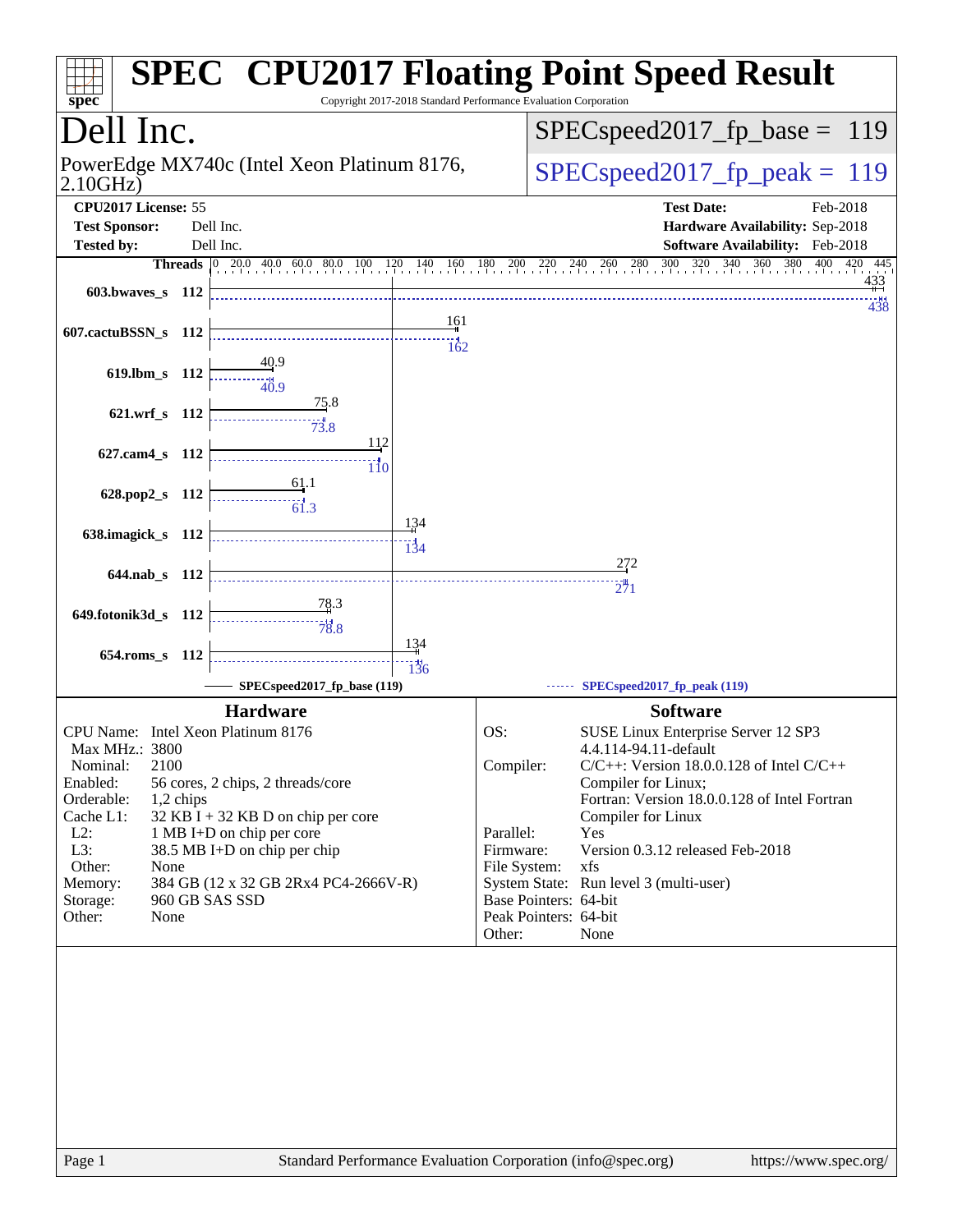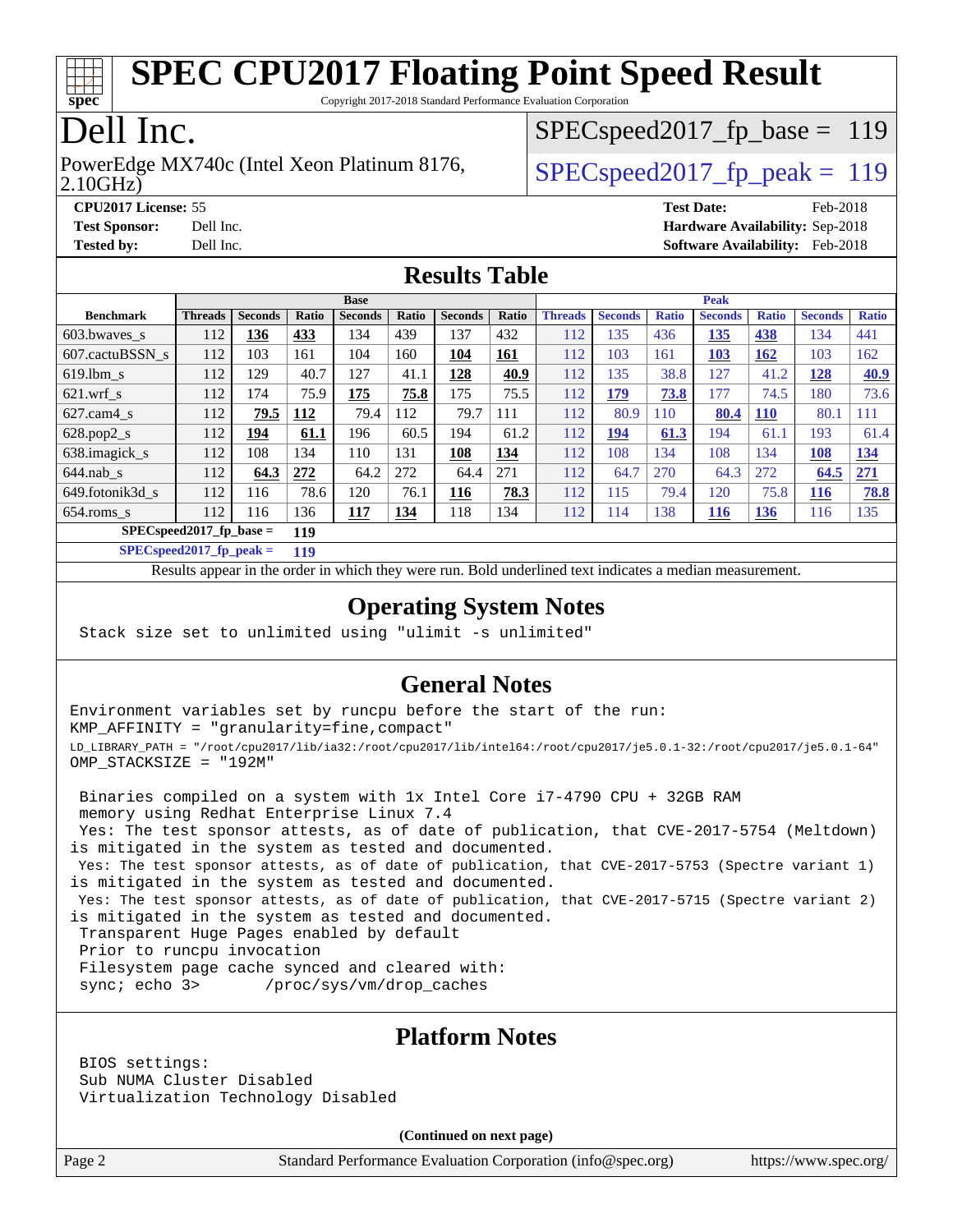

Copyright 2017-2018 Standard Performance Evaluation Corporation

# Dell Inc.

2.10GHz) PowerEdge MX740c (Intel Xeon Platinum 8176,  $\vert$  SPECspeed2017 fp\_peak = 119

SPECspeed2017 fp base =  $119$ 

**[CPU2017 License:](http://www.spec.org/auto/cpu2017/Docs/result-fields.html#CPU2017License)** 55 **[Test Date:](http://www.spec.org/auto/cpu2017/Docs/result-fields.html#TestDate)** Feb-2018 **[Test Sponsor:](http://www.spec.org/auto/cpu2017/Docs/result-fields.html#TestSponsor)** Dell Inc. **[Hardware Availability:](http://www.spec.org/auto/cpu2017/Docs/result-fields.html#HardwareAvailability)** Sep-2018 **[Tested by:](http://www.spec.org/auto/cpu2017/Docs/result-fields.html#Testedby)** Dell Inc. **[Software Availability:](http://www.spec.org/auto/cpu2017/Docs/result-fields.html#SoftwareAvailability)** Feb-2018

### **[Results Table](http://www.spec.org/auto/cpu2017/Docs/result-fields.html#ResultsTable)**

|                            | <b>Base</b>    |                |              |                |       |                | <b>Peak</b> |                |                |              |                |              |                |              |
|----------------------------|----------------|----------------|--------------|----------------|-------|----------------|-------------|----------------|----------------|--------------|----------------|--------------|----------------|--------------|
| <b>Benchmark</b>           | <b>Threads</b> | <b>Seconds</b> | <b>Ratio</b> | <b>Seconds</b> | Ratio | <b>Seconds</b> | Ratio       | <b>Threads</b> | <b>Seconds</b> | <b>Ratio</b> | <b>Seconds</b> | <b>Ratio</b> | <b>Seconds</b> | <b>Ratio</b> |
| $603.bwaves$ s             | 112            | 136            | 433          | 134            | 439   | 137            | 432         | 112            | 135            | 436          | 135            | 438          | 134            | 441          |
| 607.cactuBSSN s            | 112            | 103            | 161          | 104            | 160   | 104            | <u>161</u>  | 112            | 103            | 161          | 103            | <b>162</b>   | 103            | 162          |
| $619.1$ bm s               | 112            | 129            | 40.7         | 127            | 41.1  | 128            | 40.9        | 112            | 135            | 38.8         | 127            | 41.2         | 128            | <b>40.9</b>  |
| $621$ .wrf s               | 112            | 174            | 75.9         | 175            | 75.8  | 175            | 75.5        | 112            | 179            | 73.8         | 177            | 74.5         | 180            | 73.6         |
| $627$ .cam4 s              | 112            | 79.5           | 112          | 79.4           | 112   | 79.7           | 111         | 112            | 80.9           | 110          | 80.4           | <b>110</b>   | 80.1           | 111          |
| $628.pop2_s$               | 112            | 194            | 61.1         | 196            | 60.5  | 194            | 61.2        | 112            | 194            | 61.3         | 194            | 61.1         | 193            | 61.4         |
| 638.imagick_s              | 112            | 108            | 134          | 110            | 131   | 108            | 134         | 112            | 108            | 134          | 108            | 134          | 108            | 134          |
| $644$ .nab s               | 112            | 64.3           | 272          | 64.2           | 272   | 64.4           | 271         | 112            | 64.7           | 270          | 64.3           | 272          | 64.5           | 271          |
| 649.fotonik3d s            | 112            | 116            | 78.6         | 120            | 76.1  | 116            | 78.3        | 112            | 115            | 79.4         | 120            | 75.8         | <b>116</b>     | 78.8         |
| $654$ .roms s              | 112            | 116            | 136          | 117            | 134   | 118            | 134         | 112            | 114            | 138          | <u>116</u>     | <u>136</u>   | 116            | 135          |
| $SPECspeed2017_fp\_base =$ |                | 119            |              |                |       |                |             |                |                |              |                |              |                |              |

**[SPECspeed2017\\_fp\\_peak =](http://www.spec.org/auto/cpu2017/Docs/result-fields.html#SPECspeed2017fppeak) 119**

Results appear in the [order in which they were run.](http://www.spec.org/auto/cpu2017/Docs/result-fields.html#RunOrder) Bold underlined text [indicates a median measurement](http://www.spec.org/auto/cpu2017/Docs/result-fields.html#Median).

### **[Operating System Notes](http://www.spec.org/auto/cpu2017/Docs/result-fields.html#OperatingSystemNotes)**

Stack size set to unlimited using "ulimit -s unlimited"

### **[General Notes](http://www.spec.org/auto/cpu2017/Docs/result-fields.html#GeneralNotes)**

Environment variables set by runcpu before the start of the run: KMP\_AFFINITY = "granularity=fine,compact" LD\_LIBRARY\_PATH = "/root/cpu2017/lib/ia32:/root/cpu2017/lib/intel64:/root/cpu2017/je5.0.1-32:/root/cpu2017/je5.0.1-64" OMP\_STACKSIZE = "192M"

 Binaries compiled on a system with 1x Intel Core i7-4790 CPU + 32GB RAM memory using Redhat Enterprise Linux 7.4 Yes: The test sponsor attests, as of date of publication, that CVE-2017-5754 (Meltdown) is mitigated in the system as tested and documented.

 Yes: The test sponsor attests, as of date of publication, that CVE-2017-5753 (Spectre variant 1) is mitigated in the system as tested and documented.

 Yes: The test sponsor attests, as of date of publication, that CVE-2017-5715 (Spectre variant 2) is mitigated in the system as tested and documented.

Transparent Huge Pages enabled by default

Prior to runcpu invocation

Filesystem page cache synced and cleared with:

sync; echo 3> /proc/sys/vm/drop\_caches

#### **[Platform Notes](http://www.spec.org/auto/cpu2017/Docs/result-fields.html#PlatformNotes)**

 BIOS settings: Sub NUMA Cluster Disabled Virtualization Technology Disabled

**(Continued on next page)**

Page 2 Standard Performance Evaluation Corporation [\(info@spec.org\)](mailto:info@spec.org) <https://www.spec.org/>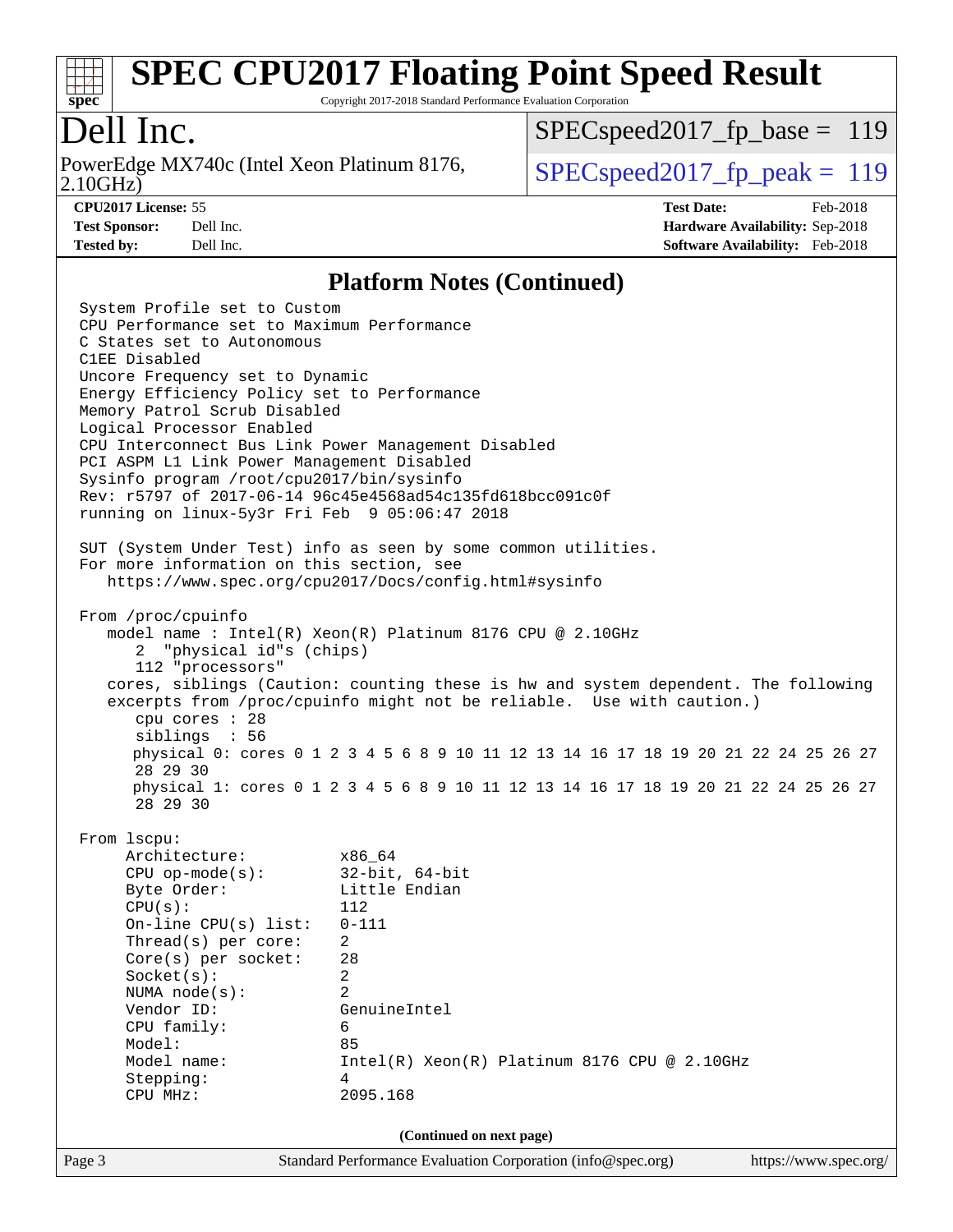

Copyright 2017-2018 Standard Performance Evaluation Corporation

# Dell Inc.

2.10GHz) PowerEdge MX740c (Intel Xeon Platinum 8176,  $\vert$  SPECspeed2017 fp\_peak = 119

SPECspeed2017 fp base =  $119$ 

**[CPU2017 License:](http://www.spec.org/auto/cpu2017/Docs/result-fields.html#CPU2017License)** 55 **[Test Date:](http://www.spec.org/auto/cpu2017/Docs/result-fields.html#TestDate)** Feb-2018 **[Test Sponsor:](http://www.spec.org/auto/cpu2017/Docs/result-fields.html#TestSponsor)** Dell Inc. **[Hardware Availability:](http://www.spec.org/auto/cpu2017/Docs/result-fields.html#HardwareAvailability)** Sep-2018 **[Tested by:](http://www.spec.org/auto/cpu2017/Docs/result-fields.html#Testedby)** Dell Inc. **[Software Availability:](http://www.spec.org/auto/cpu2017/Docs/result-fields.html#SoftwareAvailability)** Feb-2018

#### **[Platform Notes \(Continued\)](http://www.spec.org/auto/cpu2017/Docs/result-fields.html#PlatformNotes)**

Page 3 Standard Performance Evaluation Corporation [\(info@spec.org\)](mailto:info@spec.org) <https://www.spec.org/> System Profile set to Custom CPU Performance set to Maximum Performance C States set to Autonomous C1EE Disabled Uncore Frequency set to Dynamic Energy Efficiency Policy set to Performance Memory Patrol Scrub Disabled Logical Processor Enabled CPU Interconnect Bus Link Power Management Disabled PCI ASPM L1 Link Power Management Disabled Sysinfo program /root/cpu2017/bin/sysinfo Rev: r5797 of 2017-06-14 96c45e4568ad54c135fd618bcc091c0f running on linux-5y3r Fri Feb 9 05:06:47 2018 SUT (System Under Test) info as seen by some common utilities. For more information on this section, see <https://www.spec.org/cpu2017/Docs/config.html#sysinfo> From /proc/cpuinfo model name : Intel(R) Xeon(R) Platinum 8176 CPU @ 2.10GHz 2 "physical id"s (chips) 112 "processors" cores, siblings (Caution: counting these is hw and system dependent. The following excerpts from /proc/cpuinfo might not be reliable. Use with caution.) cpu cores : 28 siblings : 56 physical 0: cores 0 1 2 3 4 5 6 8 9 10 11 12 13 14 16 17 18 19 20 21 22 24 25 26 27 28 29 30 physical 1: cores 0 1 2 3 4 5 6 8 9 10 11 12 13 14 16 17 18 19 20 21 22 24 25 26 27 28 29 30 From lscpu: Architecture: x86\_64 CPU op-mode(s): 32-bit, 64-bit Byte Order: Little Endian  $CPU(s):$  112 On-line CPU(s) list: 0-111 Thread(s) per core: 2 Core(s) per socket: 28 Socket(s): 2 NUMA node(s): 2 Vendor ID: GenuineIntel CPU family: 6 Model: 85 Model name:  $Intel(R)$  Xeon(R) Platinum 8176 CPU @ 2.10GHz Stepping: 4 CPU MHz: 2095.168 **(Continued on next page)**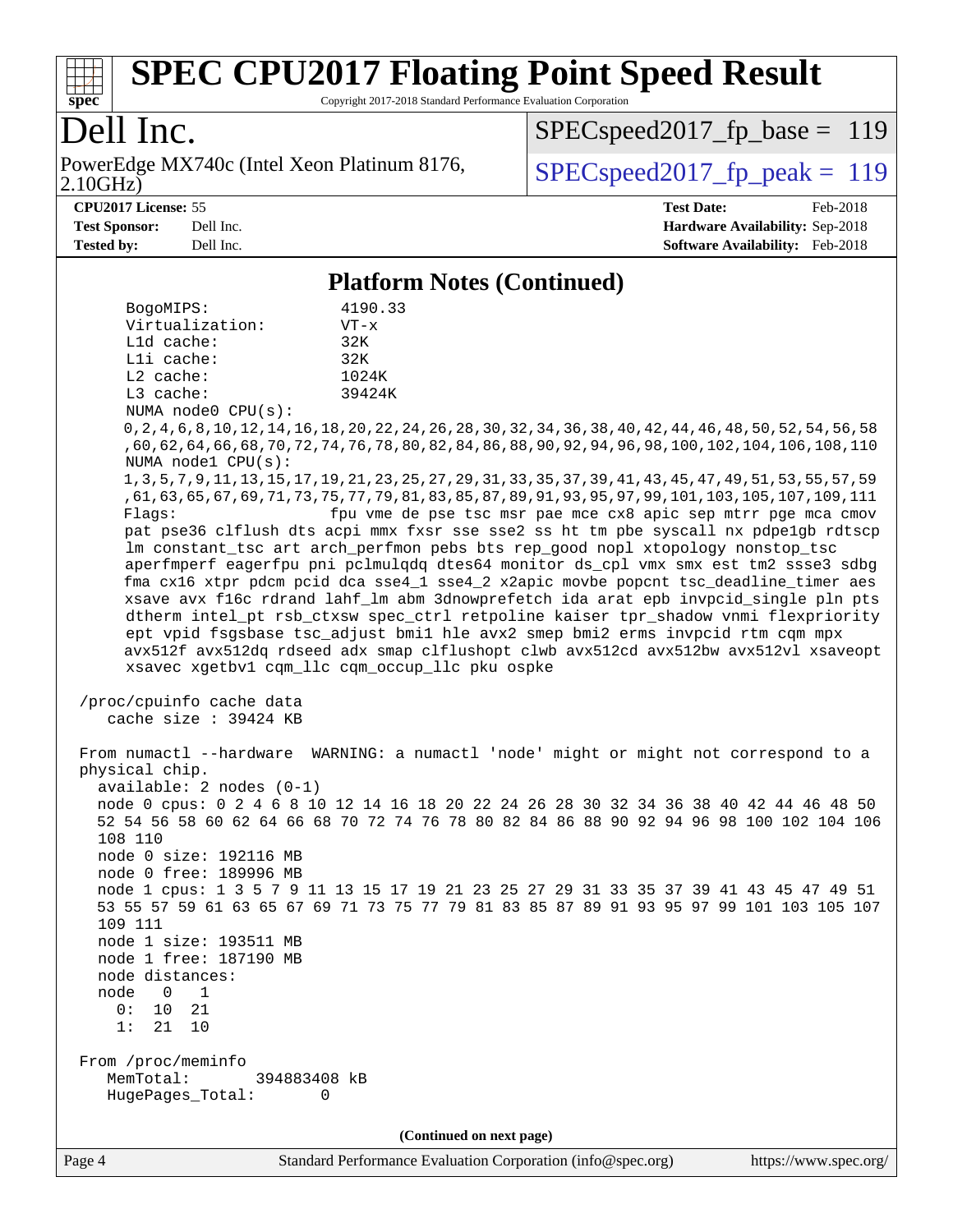

Copyright 2017-2018 Standard Performance Evaluation Corporation

# Dell Inc.

2.10GHz) PowerEdge MX740c (Intel Xeon Platinum 8176,  $\boxed{\text{SPEC speed2017\_fp\_peak = 119}}$ 

[SPECspeed2017\\_fp\\_base =](http://www.spec.org/auto/cpu2017/Docs/result-fields.html#SPECspeed2017fpbase) 119

**[CPU2017 License:](http://www.spec.org/auto/cpu2017/Docs/result-fields.html#CPU2017License)** 55 **[Test Date:](http://www.spec.org/auto/cpu2017/Docs/result-fields.html#TestDate)** Feb-2018 **[Test Sponsor:](http://www.spec.org/auto/cpu2017/Docs/result-fields.html#TestSponsor)** Dell Inc. **[Hardware Availability:](http://www.spec.org/auto/cpu2017/Docs/result-fields.html#HardwareAvailability)** Sep-2018 **[Tested by:](http://www.spec.org/auto/cpu2017/Docs/result-fields.html#Testedby)** Dell Inc. **[Software Availability:](http://www.spec.org/auto/cpu2017/Docs/result-fields.html#SoftwareAvailability)** Feb-2018

#### **[Platform Notes \(Continued\)](http://www.spec.org/auto/cpu2017/Docs/result-fields.html#PlatformNotes)**

|                                                                                                                   | $1$ mator in Twich (Continued)                                                                                 |  |                                                                                                                                                                            |  |  |  |  |  |  |  |
|-------------------------------------------------------------------------------------------------------------------|----------------------------------------------------------------------------------------------------------------|--|----------------------------------------------------------------------------------------------------------------------------------------------------------------------------|--|--|--|--|--|--|--|
| BogoMIPS:<br>Virtualization:                                                                                      | 4190.33<br>$VT - x$                                                                                            |  |                                                                                                                                                                            |  |  |  |  |  |  |  |
| Lld cache:                                                                                                        | 32K                                                                                                            |  |                                                                                                                                                                            |  |  |  |  |  |  |  |
| Lli cache:                                                                                                        | 32K                                                                                                            |  |                                                                                                                                                                            |  |  |  |  |  |  |  |
| $L2$ cache:<br>L3 cache:                                                                                          | 1024K<br>39424K                                                                                                |  |                                                                                                                                                                            |  |  |  |  |  |  |  |
| NUMA node0 CPU(s):                                                                                                |                                                                                                                |  |                                                                                                                                                                            |  |  |  |  |  |  |  |
| 0,2,4,6,8,10,12,14,16,18,20,22,24,26,28,30,32,34,36,38,40,42,44,46,48,50,52,54,56,                                |                                                                                                                |  |                                                                                                                                                                            |  |  |  |  |  |  |  |
| ,60,62,64,66,68,70,72,74,76,78,80,82,84,86,88,90,92,94,96,98,100,102,104,106,108,110<br>NUMA $node1$ CPU $(s)$ :  |                                                                                                                |  |                                                                                                                                                                            |  |  |  |  |  |  |  |
| 1, 3, 5, 7, 9, 11, 13, 15, 17, 19, 21, 23, 25, 27, 29, 31, 33, 35, 37, 39, 41, 43, 45, 47, 49, 51, 53, 55, 57, 59 |                                                                                                                |  |                                                                                                                                                                            |  |  |  |  |  |  |  |
|                                                                                                                   | , 61, 63, 65, 67, 69, 71, 73, 75, 77, 79, 81, 83, 85, 87, 89, 91, 93, 95, 97, 99, 101, 103, 105, 107, 109, 111 |  |                                                                                                                                                                            |  |  |  |  |  |  |  |
| Flaqs:                                                                                                            |                                                                                                                |  | fpu vme de pse tsc msr pae mce cx8 apic sep mtrr pge mca cmov                                                                                                              |  |  |  |  |  |  |  |
|                                                                                                                   |                                                                                                                |  | pat pse36 clflush dts acpi mmx fxsr sse sse2 ss ht tm pbe syscall nx pdpelgb rdtscp                                                                                        |  |  |  |  |  |  |  |
|                                                                                                                   |                                                                                                                |  | lm constant_tsc art arch_perfmon pebs bts rep_good nopl xtopology nonstop_tsc                                                                                              |  |  |  |  |  |  |  |
|                                                                                                                   |                                                                                                                |  | aperfmperf eagerfpu pni pclmulqdq dtes64 monitor ds_cpl vmx smx est tm2 ssse3 sdbg<br>fma cx16 xtpr pdcm pcid dca sse4_1 sse4_2 x2apic movbe popcnt tsc_deadline_timer aes |  |  |  |  |  |  |  |
|                                                                                                                   |                                                                                                                |  | xsave avx f16c rdrand lahf lm abm 3dnowprefetch ida arat epb invpcid single pln pts                                                                                        |  |  |  |  |  |  |  |
|                                                                                                                   |                                                                                                                |  | dtherm intel_pt rsb_ctxsw spec_ctrl retpoline kaiser tpr_shadow vnmi flexpriority                                                                                          |  |  |  |  |  |  |  |
|                                                                                                                   |                                                                                                                |  | ept vpid fsgsbase tsc_adjust bmil hle avx2 smep bmi2 erms invpcid rtm cqm mpx                                                                                              |  |  |  |  |  |  |  |
|                                                                                                                   |                                                                                                                |  | avx512f avx512dq rdseed adx smap clflushopt clwb avx512cd avx512bw avx512vl xsaveopt                                                                                       |  |  |  |  |  |  |  |
| xsavec xgetbv1 cqm_llc cqm_occup_llc pku ospke                                                                    |                                                                                                                |  |                                                                                                                                                                            |  |  |  |  |  |  |  |
| /proc/cpuinfo cache data<br>cache size : 39424 KB                                                                 |                                                                                                                |  |                                                                                                                                                                            |  |  |  |  |  |  |  |
| From numactl --hardware WARNING: a numactl 'node' might or might not correspond to a                              |                                                                                                                |  |                                                                                                                                                                            |  |  |  |  |  |  |  |
| physical chip.                                                                                                    |                                                                                                                |  |                                                                                                                                                                            |  |  |  |  |  |  |  |
| $available: 2 nodes (0-1)$                                                                                        |                                                                                                                |  | node 0 cpus: 0 2 4 6 8 10 12 14 16 18 20 22 24 26 28 30 32 34 36 38 40 42 44 46 48 50                                                                                      |  |  |  |  |  |  |  |
|                                                                                                                   |                                                                                                                |  | 52 54 56 58 60 62 64 66 68 70 72 74 76 78 80 82 84 86 88 90 92 94 96 98 100 102 104 106                                                                                    |  |  |  |  |  |  |  |
| 108 110                                                                                                           |                                                                                                                |  |                                                                                                                                                                            |  |  |  |  |  |  |  |
| node 0 size: 192116 MB                                                                                            |                                                                                                                |  |                                                                                                                                                                            |  |  |  |  |  |  |  |
| node 0 free: 189996 MB                                                                                            |                                                                                                                |  |                                                                                                                                                                            |  |  |  |  |  |  |  |
|                                                                                                                   |                                                                                                                |  | node 1 cpus: 1 3 5 7 9 11 13 15 17 19 21 23 25 27 29 31 33 35 37 39 41 43 45 47 49 51                                                                                      |  |  |  |  |  |  |  |
|                                                                                                                   |                                                                                                                |  | 53 55 57 59 61 63 65 67 69 71 73 75 77 79 81 83 85 87 89 91 93 95 97 99 101 103 105 107                                                                                    |  |  |  |  |  |  |  |
| 109 111                                                                                                           |                                                                                                                |  |                                                                                                                                                                            |  |  |  |  |  |  |  |
| node 1 size: 193511 MB<br>node 1 free: 187190 MB                                                                  |                                                                                                                |  |                                                                                                                                                                            |  |  |  |  |  |  |  |
| node distances:                                                                                                   |                                                                                                                |  |                                                                                                                                                                            |  |  |  |  |  |  |  |
| node<br>1<br>0                                                                                                    |                                                                                                                |  |                                                                                                                                                                            |  |  |  |  |  |  |  |
| 0:<br>10<br>21                                                                                                    |                                                                                                                |  |                                                                                                                                                                            |  |  |  |  |  |  |  |
| 1:<br>21<br>10                                                                                                    |                                                                                                                |  |                                                                                                                                                                            |  |  |  |  |  |  |  |
| From /proc/meminfo<br>MemTotal:<br>394883408 kB<br>HugePages_Total:<br>0                                          |                                                                                                                |  |                                                                                                                                                                            |  |  |  |  |  |  |  |
|                                                                                                                   |                                                                                                                |  |                                                                                                                                                                            |  |  |  |  |  |  |  |
| (Continued on next page)                                                                                          |                                                                                                                |  |                                                                                                                                                                            |  |  |  |  |  |  |  |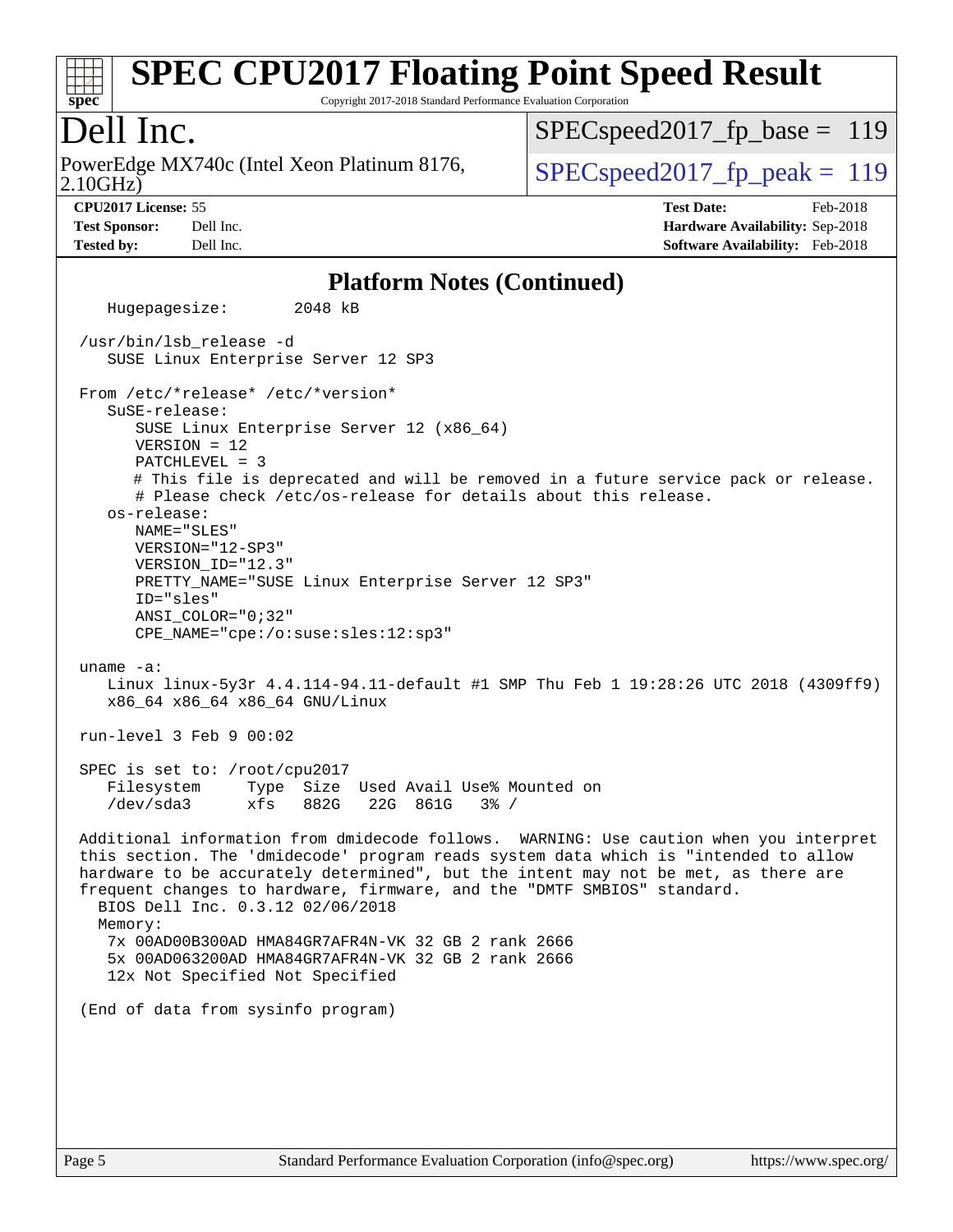# **[spec](http://www.spec.org/)**

# **[SPEC CPU2017 Floating Point Speed Result](http://www.spec.org/auto/cpu2017/Docs/result-fields.html#SPECCPU2017FloatingPointSpeedResult)**

Copyright 2017-2018 Standard Performance Evaluation Corporation

## Dell Inc.

2.10GHz) PowerEdge MX740c (Intel Xeon Platinum 8176,  $\vert$  SPECspeed2017 fp\_peak = 119

SPECspeed2017 fp base =  $119$ 

**[Tested by:](http://www.spec.org/auto/cpu2017/Docs/result-fields.html#Testedby)** Dell Inc. **[Software Availability:](http://www.spec.org/auto/cpu2017/Docs/result-fields.html#SoftwareAvailability)** Feb-2018

**[CPU2017 License:](http://www.spec.org/auto/cpu2017/Docs/result-fields.html#CPU2017License)** 55 **[Test Date:](http://www.spec.org/auto/cpu2017/Docs/result-fields.html#TestDate)** Feb-2018 **[Test Sponsor:](http://www.spec.org/auto/cpu2017/Docs/result-fields.html#TestSponsor)** Dell Inc. **[Hardware Availability:](http://www.spec.org/auto/cpu2017/Docs/result-fields.html#HardwareAvailability)** Sep-2018

### **[Platform Notes \(Continued\)](http://www.spec.org/auto/cpu2017/Docs/result-fields.html#PlatformNotes)**

 Hugepagesize: 2048 kB /usr/bin/lsb\_release -d SUSE Linux Enterprise Server 12 SP3 From /etc/\*release\* /etc/\*version\* SuSE-release: SUSE Linux Enterprise Server 12 (x86\_64) VERSION = 12 PATCHLEVEL = 3 # This file is deprecated and will be removed in a future service pack or release. # Please check /etc/os-release for details about this release. os-release: NAME="SLES" VERSION="12-SP3" VERSION\_ID="12.3" PRETTY\_NAME="SUSE Linux Enterprise Server 12 SP3" ID="sles" ANSI\_COLOR="0;32" CPE\_NAME="cpe:/o:suse:sles:12:sp3" uname -a: Linux linux-5y3r 4.4.114-94.11-default #1 SMP Thu Feb 1 19:28:26 UTC 2018 (4309ff9) x86\_64 x86\_64 x86\_64 GNU/Linux run-level 3 Feb 9 00:02 SPEC is set to: /root/cpu2017 Filesystem Type Size Used Avail Use% Mounted on /dev/sda3 xfs 882G 22G 861G 3% / Additional information from dmidecode follows. WARNING: Use caution when you interpret this section. The 'dmidecode' program reads system data which is "intended to allow hardware to be accurately determined", but the intent may not be met, as there are frequent changes to hardware, firmware, and the "DMTF SMBIOS" standard. BIOS Dell Inc. 0.3.12 02/06/2018 Memory: 7x 00AD00B300AD HMA84GR7AFR4N-VK 32 GB 2 rank 2666 5x 00AD063200AD HMA84GR7AFR4N-VK 32 GB 2 rank 2666 12x Not Specified Not Specified (End of data from sysinfo program)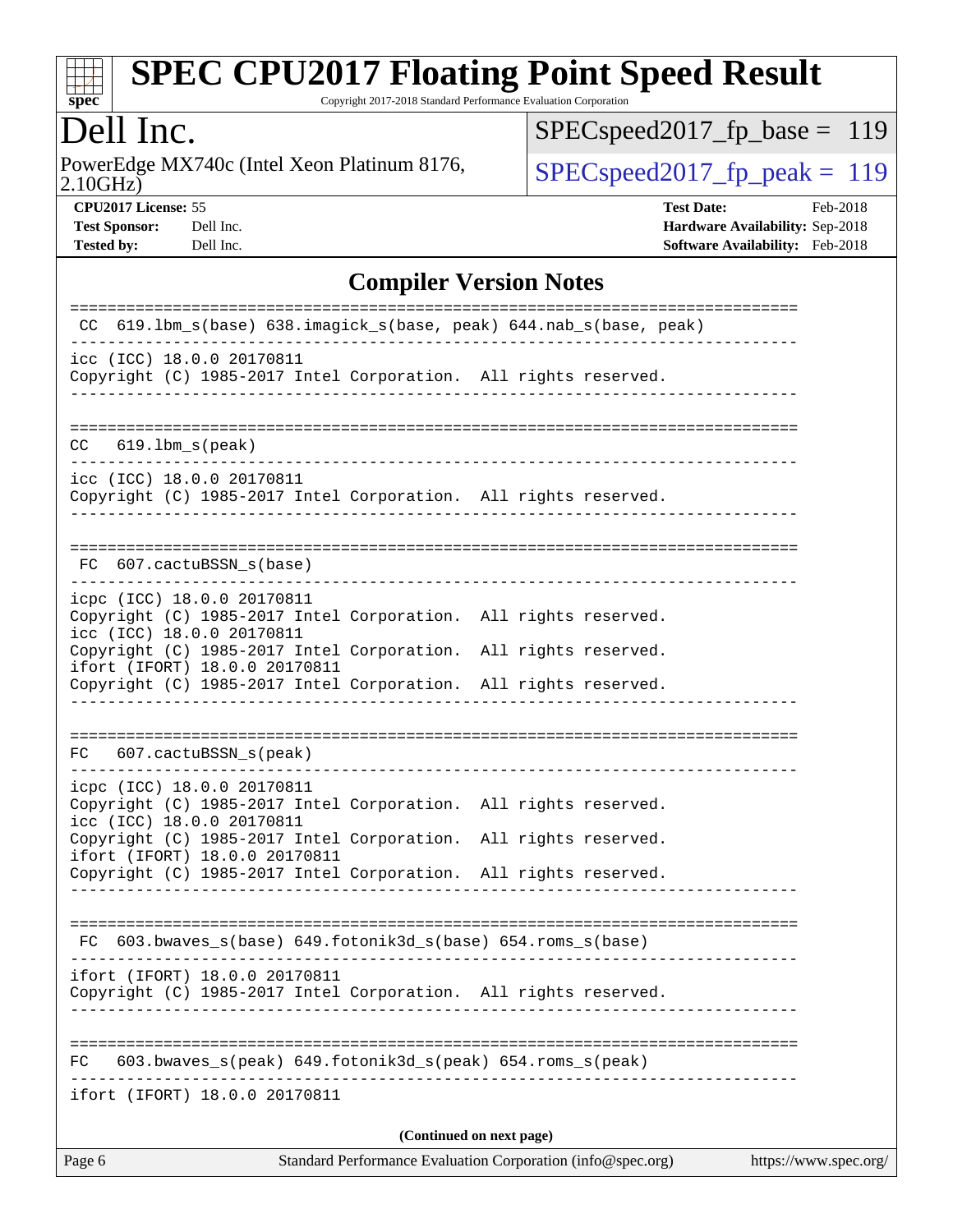

Copyright 2017-2018 Standard Performance Evaluation Corporation

# Dell Inc.

2.10GHz) PowerEdge MX740c (Intel Xeon Platinum 8176,  $\boxed{\text{SPEC speed2017\_fp\_peak = 119}}$ 

[SPECspeed2017\\_fp\\_base =](http://www.spec.org/auto/cpu2017/Docs/result-fields.html#SPECspeed2017fpbase) 119

**[CPU2017 License:](http://www.spec.org/auto/cpu2017/Docs/result-fields.html#CPU2017License)** 55 **[Test Date:](http://www.spec.org/auto/cpu2017/Docs/result-fields.html#TestDate)** Feb-2018 **[Test Sponsor:](http://www.spec.org/auto/cpu2017/Docs/result-fields.html#TestSponsor)** Dell Inc. **[Hardware Availability:](http://www.spec.org/auto/cpu2017/Docs/result-fields.html#HardwareAvailability)** Sep-2018 **[Tested by:](http://www.spec.org/auto/cpu2017/Docs/result-fields.html#Testedby)** Dell Inc. **[Software Availability:](http://www.spec.org/auto/cpu2017/Docs/result-fields.html#SoftwareAvailability)** Feb-2018

### **[Compiler Version Notes](http://www.spec.org/auto/cpu2017/Docs/result-fields.html#CompilerVersionNotes)**

| Page 6 | Standard Performance Evaluation Corporation (info@spec.org)<br>https://www.spec.org/                                                                                |
|--------|---------------------------------------------------------------------------------------------------------------------------------------------------------------------|
|        | (Continued on next page)                                                                                                                                            |
|        | ifort (IFORT) 18.0.0 20170811                                                                                                                                       |
| FC.    | 603.bwaves_s(peak) 649.fotonik3d_s(peak) 654.roms_s(peak)                                                                                                           |
|        | ifort (IFORT) 18.0.0 20170811<br>Copyright (C) 1985-2017 Intel Corporation. All rights reserved.                                                                    |
|        | $FC 603.bwaves_s(base) 649.fotonik3d_s(base) 654.roms_s(base)$                                                                                                      |
|        |                                                                                                                                                                     |
|        | Copyright (C) 1985-2017 Intel Corporation. All rights reserved.<br>ifort (IFORT) 18.0.0 20170811<br>Copyright (C) 1985-2017 Intel Corporation. All rights reserved. |
|        | icpc (ICC) 18.0.0 20170811<br>Copyright (C) 1985-2017 Intel Corporation. All rights reserved.<br>icc (ICC) 18.0.0 20170811                                          |
|        | FC 607.cactuBSSN_s(peak)                                                                                                                                            |
|        |                                                                                                                                                                     |
|        | Copyright (C) 1985-2017 Intel Corporation. All rights reserved.<br>ifort (IFORT) 18.0.0 20170811<br>Copyright (C) 1985-2017 Intel Corporation. All rights reserved. |
|        | icpc (ICC) 18.0.0 20170811<br>Copyright (C) 1985-2017 Intel Corporation. All rights reserved.<br>icc (ICC) 18.0.0 20170811                                          |
|        | FC 607.cactuBSSN_s(base)                                                                                                                                            |
|        | icc (ICC) 18.0.0 20170811<br>Copyright (C) 1985-2017 Intel Corporation. All rights reserved.                                                                        |
|        | $CC$ $619.1bm_s(peak)$                                                                                                                                              |
|        |                                                                                                                                                                     |
|        | icc (ICC) 18.0.0 20170811<br>Copyright (C) 1985-2017 Intel Corporation. All rights reserved.                                                                        |
| CC.    | 619.1bm_s(base)                                   638.imagick_s(base, peak)        644.nab_s(base, peak)                                                            |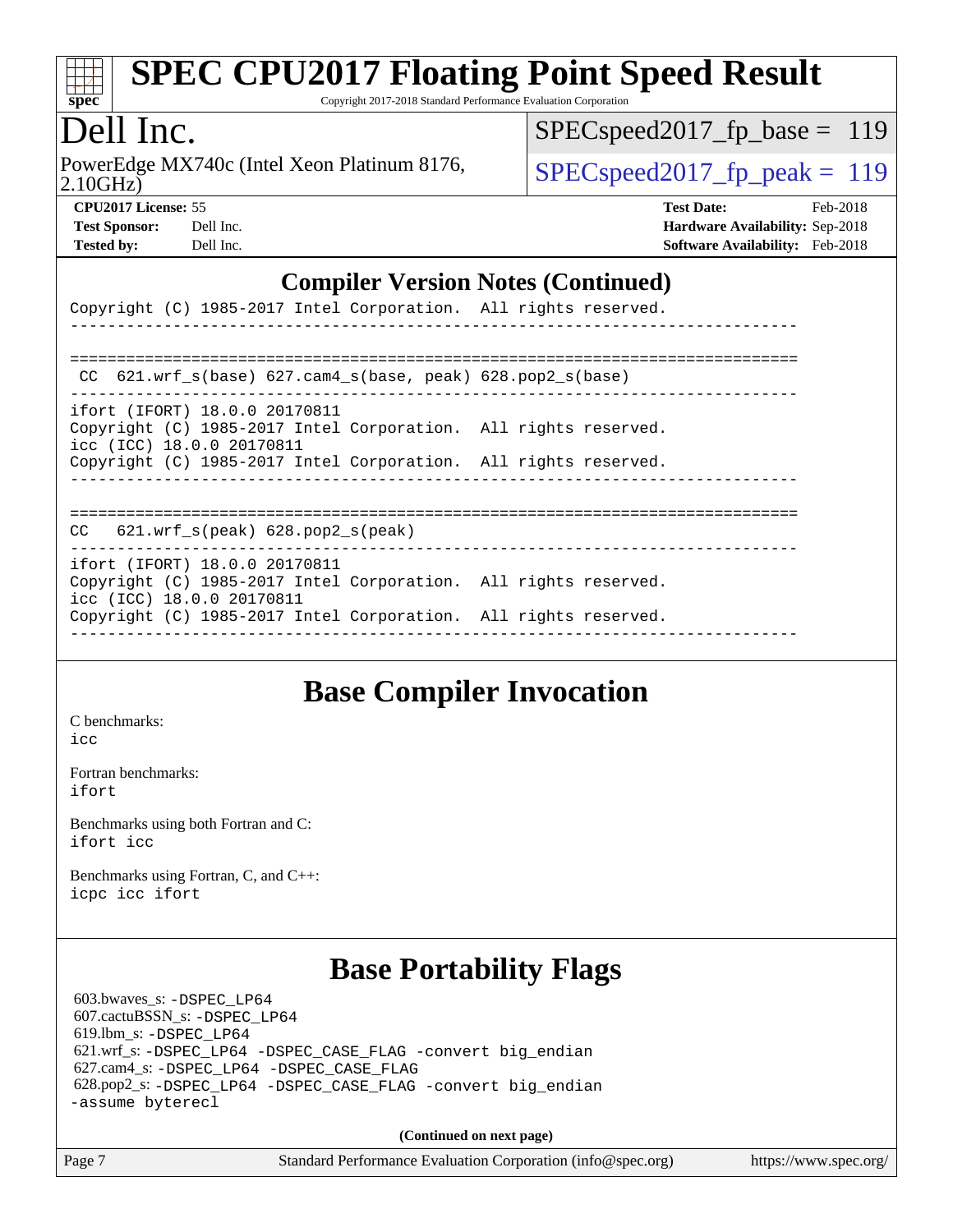

Copyright 2017-2018 Standard Performance Evaluation Corporation

# Dell Inc.

2.10GHz) PowerEdge MX740c (Intel Xeon Platinum 8176,  $\vert$  [SPECspeed2017\\_fp\\_peak =](http://www.spec.org/auto/cpu2017/Docs/result-fields.html#SPECspeed2017fppeak) 119

[SPECspeed2017\\_fp\\_base =](http://www.spec.org/auto/cpu2017/Docs/result-fields.html#SPECspeed2017fpbase) 119

| <b>Test Sponsor:</b> | Dell Inc |
|----------------------|----------|
| <b>Tested by:</b>    | Dell Inc |

**[CPU2017 License:](http://www.spec.org/auto/cpu2017/Docs/result-fields.html#CPU2017License)** 55 **[Test Date:](http://www.spec.org/auto/cpu2017/Docs/result-fields.html#TestDate)** Feb-2018 **[Hardware Availability:](http://www.spec.org/auto/cpu2017/Docs/result-fields.html#HardwareAvailability)** Sep-2018 **[Software Availability:](http://www.spec.org/auto/cpu2017/Docs/result-fields.html#SoftwareAvailability)** Feb-2018

#### **[Compiler Version Notes \(Continued\)](http://www.spec.org/auto/cpu2017/Docs/result-fields.html#CompilerVersionNotes)**

|                                                            |  |  |  | Copyright (C) 1985-2017 Intel Corporation. All rights reserved.                                                                    |  |  |  |  |  |
|------------------------------------------------------------|--|--|--|------------------------------------------------------------------------------------------------------------------------------------|--|--|--|--|--|
|                                                            |  |  |  |                                                                                                                                    |  |  |  |  |  |
|                                                            |  |  |  | CC $621.wrf_s(base) 627.cam4_s(base, peak) 628.pop2_s(base)$                                                                       |  |  |  |  |  |
| ifort (IFORT) 18.0.0 20170811<br>icc (ICC) 18.0.0 20170811 |  |  |  | Copyright (C) 1985-2017 Intel Corporation. All rights reserved.<br>Copyright (C) 1985-2017 Intel Corporation. All rights reserved. |  |  |  |  |  |
| $CC$ 621.wrf_s(peak) 628.pop2_s(peak)                      |  |  |  |                                                                                                                                    |  |  |  |  |  |
| ifort (IFORT) 18.0.0 20170811<br>icc (ICC) 18.0.0 20170811 |  |  |  | Copyright (C) 1985-2017 Intel Corporation. All rights reserved.                                                                    |  |  |  |  |  |

------------------------------------------------------------------------------

Copyright (C) 1985-2017 Intel Corporation. All rights reserved.

# **[Base Compiler Invocation](http://www.spec.org/auto/cpu2017/Docs/result-fields.html#BaseCompilerInvocation)**

[C benchmarks](http://www.spec.org/auto/cpu2017/Docs/result-fields.html#Cbenchmarks): [icc](http://www.spec.org/cpu2017/results/res2018q4/cpu2017-20181001-09026.flags.html#user_CCbase_intel_icc_18.0_66fc1ee009f7361af1fbd72ca7dcefbb700085f36577c54f309893dd4ec40d12360134090235512931783d35fd58c0460139e722d5067c5574d8eaf2b3e37e92)

[Fortran benchmarks](http://www.spec.org/auto/cpu2017/Docs/result-fields.html#Fortranbenchmarks): [ifort](http://www.spec.org/cpu2017/results/res2018q4/cpu2017-20181001-09026.flags.html#user_FCbase_intel_ifort_18.0_8111460550e3ca792625aed983ce982f94888b8b503583aa7ba2b8303487b4d8a21a13e7191a45c5fd58ff318f48f9492884d4413fa793fd88dd292cad7027ca)

[Benchmarks using both Fortran and C](http://www.spec.org/auto/cpu2017/Docs/result-fields.html#BenchmarksusingbothFortranandC): [ifort](http://www.spec.org/cpu2017/results/res2018q4/cpu2017-20181001-09026.flags.html#user_CC_FCbase_intel_ifort_18.0_8111460550e3ca792625aed983ce982f94888b8b503583aa7ba2b8303487b4d8a21a13e7191a45c5fd58ff318f48f9492884d4413fa793fd88dd292cad7027ca) [icc](http://www.spec.org/cpu2017/results/res2018q4/cpu2017-20181001-09026.flags.html#user_CC_FCbase_intel_icc_18.0_66fc1ee009f7361af1fbd72ca7dcefbb700085f36577c54f309893dd4ec40d12360134090235512931783d35fd58c0460139e722d5067c5574d8eaf2b3e37e92)

[Benchmarks using Fortran, C, and C++:](http://www.spec.org/auto/cpu2017/Docs/result-fields.html#BenchmarksusingFortranCandCXX) [icpc](http://www.spec.org/cpu2017/results/res2018q4/cpu2017-20181001-09026.flags.html#user_CC_CXX_FCbase_intel_icpc_18.0_c510b6838c7f56d33e37e94d029a35b4a7bccf4766a728ee175e80a419847e808290a9b78be685c44ab727ea267ec2f070ec5dc83b407c0218cded6866a35d07) [icc](http://www.spec.org/cpu2017/results/res2018q4/cpu2017-20181001-09026.flags.html#user_CC_CXX_FCbase_intel_icc_18.0_66fc1ee009f7361af1fbd72ca7dcefbb700085f36577c54f309893dd4ec40d12360134090235512931783d35fd58c0460139e722d5067c5574d8eaf2b3e37e92) [ifort](http://www.spec.org/cpu2017/results/res2018q4/cpu2017-20181001-09026.flags.html#user_CC_CXX_FCbase_intel_ifort_18.0_8111460550e3ca792625aed983ce982f94888b8b503583aa7ba2b8303487b4d8a21a13e7191a45c5fd58ff318f48f9492884d4413fa793fd88dd292cad7027ca)

## **[Base Portability Flags](http://www.spec.org/auto/cpu2017/Docs/result-fields.html#BasePortabilityFlags)**

 603.bwaves\_s: [-DSPEC\\_LP64](http://www.spec.org/cpu2017/results/res2018q4/cpu2017-20181001-09026.flags.html#suite_basePORTABILITY603_bwaves_s_DSPEC_LP64) 607.cactuBSSN\_s: [-DSPEC\\_LP64](http://www.spec.org/cpu2017/results/res2018q4/cpu2017-20181001-09026.flags.html#suite_basePORTABILITY607_cactuBSSN_s_DSPEC_LP64) 619.lbm\_s: [-DSPEC\\_LP64](http://www.spec.org/cpu2017/results/res2018q4/cpu2017-20181001-09026.flags.html#suite_basePORTABILITY619_lbm_s_DSPEC_LP64) 621.wrf\_s: [-DSPEC\\_LP64](http://www.spec.org/cpu2017/results/res2018q4/cpu2017-20181001-09026.flags.html#suite_basePORTABILITY621_wrf_s_DSPEC_LP64) [-DSPEC\\_CASE\\_FLAG](http://www.spec.org/cpu2017/results/res2018q4/cpu2017-20181001-09026.flags.html#b621.wrf_s_baseCPORTABILITY_DSPEC_CASE_FLAG) [-convert big\\_endian](http://www.spec.org/cpu2017/results/res2018q4/cpu2017-20181001-09026.flags.html#user_baseFPORTABILITY621_wrf_s_convert_big_endian_c3194028bc08c63ac5d04de18c48ce6d347e4e562e8892b8bdbdc0214820426deb8554edfa529a3fb25a586e65a3d812c835984020483e7e73212c4d31a38223) 627.cam4\_s: [-DSPEC\\_LP64](http://www.spec.org/cpu2017/results/res2018q4/cpu2017-20181001-09026.flags.html#suite_basePORTABILITY627_cam4_s_DSPEC_LP64) [-DSPEC\\_CASE\\_FLAG](http://www.spec.org/cpu2017/results/res2018q4/cpu2017-20181001-09026.flags.html#b627.cam4_s_baseCPORTABILITY_DSPEC_CASE_FLAG) 628.pop2\_s: [-DSPEC\\_LP64](http://www.spec.org/cpu2017/results/res2018q4/cpu2017-20181001-09026.flags.html#suite_basePORTABILITY628_pop2_s_DSPEC_LP64) [-DSPEC\\_CASE\\_FLAG](http://www.spec.org/cpu2017/results/res2018q4/cpu2017-20181001-09026.flags.html#b628.pop2_s_baseCPORTABILITY_DSPEC_CASE_FLAG) [-convert big\\_endian](http://www.spec.org/cpu2017/results/res2018q4/cpu2017-20181001-09026.flags.html#user_baseFPORTABILITY628_pop2_s_convert_big_endian_c3194028bc08c63ac5d04de18c48ce6d347e4e562e8892b8bdbdc0214820426deb8554edfa529a3fb25a586e65a3d812c835984020483e7e73212c4d31a38223) [-assume byterecl](http://www.spec.org/cpu2017/results/res2018q4/cpu2017-20181001-09026.flags.html#user_baseFPORTABILITY628_pop2_s_assume_byterecl_7e47d18b9513cf18525430bbf0f2177aa9bf368bc7a059c09b2c06a34b53bd3447c950d3f8d6c70e3faf3a05c8557d66a5798b567902e8849adc142926523472)

**(Continued on next page)**

|  |  | rd Performance Eval |  |
|--|--|---------------------|--|
|  |  |                     |  |

Page 7 Standard Performance Evaluation Corporation [\(info@spec.org\)](mailto:info@spec.org) <https://www.spec.org/>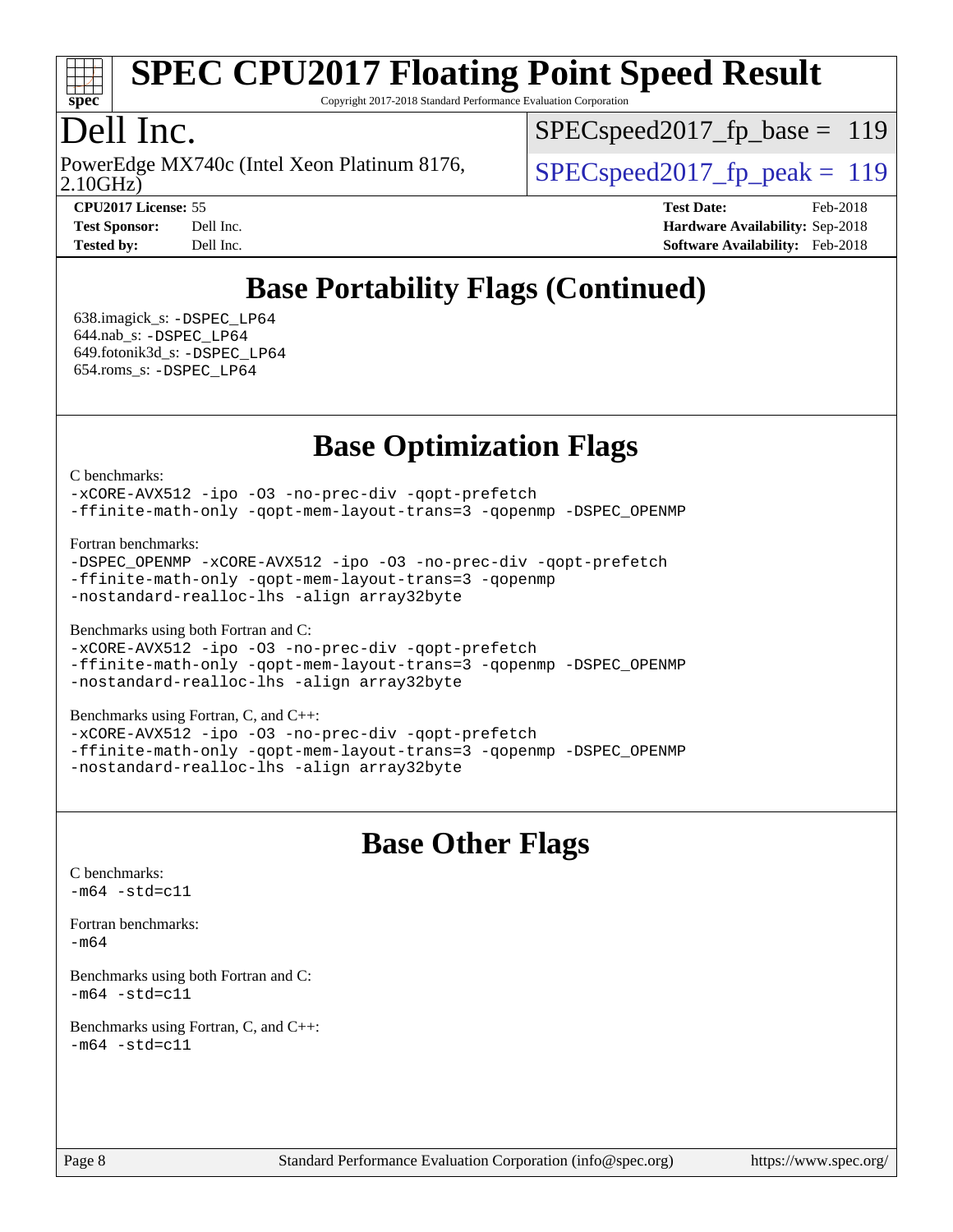

Copyright 2017-2018 Standard Performance Evaluation Corporation

# Dell Inc.

2.10GHz) PowerEdge MX740c (Intel Xeon Platinum 8176,  $\vert$  SPECspeed2017 fp\_peak = 119

SPECspeed2017 fp base =  $119$ 

**[CPU2017 License:](http://www.spec.org/auto/cpu2017/Docs/result-fields.html#CPU2017License)** 55 **[Test Date:](http://www.spec.org/auto/cpu2017/Docs/result-fields.html#TestDate)** Feb-2018 **[Test Sponsor:](http://www.spec.org/auto/cpu2017/Docs/result-fields.html#TestSponsor)** Dell Inc. **[Hardware Availability:](http://www.spec.org/auto/cpu2017/Docs/result-fields.html#HardwareAvailability)** Sep-2018 **[Tested by:](http://www.spec.org/auto/cpu2017/Docs/result-fields.html#Testedby)** Dell Inc. **[Software Availability:](http://www.spec.org/auto/cpu2017/Docs/result-fields.html#SoftwareAvailability)** Feb-2018

# **[Base Portability Flags \(Continued\)](http://www.spec.org/auto/cpu2017/Docs/result-fields.html#BasePortabilityFlags)**

 638.imagick\_s: [-DSPEC\\_LP64](http://www.spec.org/cpu2017/results/res2018q4/cpu2017-20181001-09026.flags.html#suite_basePORTABILITY638_imagick_s_DSPEC_LP64) 644.nab\_s: [-DSPEC\\_LP64](http://www.spec.org/cpu2017/results/res2018q4/cpu2017-20181001-09026.flags.html#suite_basePORTABILITY644_nab_s_DSPEC_LP64) 649.fotonik3d\_s: [-DSPEC\\_LP64](http://www.spec.org/cpu2017/results/res2018q4/cpu2017-20181001-09026.flags.html#suite_basePORTABILITY649_fotonik3d_s_DSPEC_LP64) 654.roms\_s: [-DSPEC\\_LP64](http://www.spec.org/cpu2017/results/res2018q4/cpu2017-20181001-09026.flags.html#suite_basePORTABILITY654_roms_s_DSPEC_LP64)

**[Base Optimization Flags](http://www.spec.org/auto/cpu2017/Docs/result-fields.html#BaseOptimizationFlags)**

[C benchmarks](http://www.spec.org/auto/cpu2017/Docs/result-fields.html#Cbenchmarks):

[-xCORE-AVX512](http://www.spec.org/cpu2017/results/res2018q4/cpu2017-20181001-09026.flags.html#user_CCbase_f-xCORE-AVX512) [-ipo](http://www.spec.org/cpu2017/results/res2018q4/cpu2017-20181001-09026.flags.html#user_CCbase_f-ipo) [-O3](http://www.spec.org/cpu2017/results/res2018q4/cpu2017-20181001-09026.flags.html#user_CCbase_f-O3) [-no-prec-div](http://www.spec.org/cpu2017/results/res2018q4/cpu2017-20181001-09026.flags.html#user_CCbase_f-no-prec-div) [-qopt-prefetch](http://www.spec.org/cpu2017/results/res2018q4/cpu2017-20181001-09026.flags.html#user_CCbase_f-qopt-prefetch) [-ffinite-math-only](http://www.spec.org/cpu2017/results/res2018q4/cpu2017-20181001-09026.flags.html#user_CCbase_f_finite_math_only_cb91587bd2077682c4b38af759c288ed7c732db004271a9512da14a4f8007909a5f1427ecbf1a0fb78ff2a814402c6114ac565ca162485bbcae155b5e4258871) [-qopt-mem-layout-trans=3](http://www.spec.org/cpu2017/results/res2018q4/cpu2017-20181001-09026.flags.html#user_CCbase_f-qopt-mem-layout-trans_de80db37974c74b1f0e20d883f0b675c88c3b01e9d123adea9b28688d64333345fb62bc4a798493513fdb68f60282f9a726aa07f478b2f7113531aecce732043) [-qopenmp](http://www.spec.org/cpu2017/results/res2018q4/cpu2017-20181001-09026.flags.html#user_CCbase_qopenmp_16be0c44f24f464004c6784a7acb94aca937f053568ce72f94b139a11c7c168634a55f6653758ddd83bcf7b8463e8028bb0b48b77bcddc6b78d5d95bb1df2967) [-DSPEC\\_OPENMP](http://www.spec.org/cpu2017/results/res2018q4/cpu2017-20181001-09026.flags.html#suite_CCbase_DSPEC_OPENMP)

[Fortran benchmarks](http://www.spec.org/auto/cpu2017/Docs/result-fields.html#Fortranbenchmarks):

[-DSPEC\\_OPENMP](http://www.spec.org/cpu2017/results/res2018q4/cpu2017-20181001-09026.flags.html#suite_FCbase_DSPEC_OPENMP) [-xCORE-AVX512](http://www.spec.org/cpu2017/results/res2018q4/cpu2017-20181001-09026.flags.html#user_FCbase_f-xCORE-AVX512) [-ipo](http://www.spec.org/cpu2017/results/res2018q4/cpu2017-20181001-09026.flags.html#user_FCbase_f-ipo) [-O3](http://www.spec.org/cpu2017/results/res2018q4/cpu2017-20181001-09026.flags.html#user_FCbase_f-O3) [-no-prec-div](http://www.spec.org/cpu2017/results/res2018q4/cpu2017-20181001-09026.flags.html#user_FCbase_f-no-prec-div) [-qopt-prefetch](http://www.spec.org/cpu2017/results/res2018q4/cpu2017-20181001-09026.flags.html#user_FCbase_f-qopt-prefetch) [-ffinite-math-only](http://www.spec.org/cpu2017/results/res2018q4/cpu2017-20181001-09026.flags.html#user_FCbase_f_finite_math_only_cb91587bd2077682c4b38af759c288ed7c732db004271a9512da14a4f8007909a5f1427ecbf1a0fb78ff2a814402c6114ac565ca162485bbcae155b5e4258871) [-qopt-mem-layout-trans=3](http://www.spec.org/cpu2017/results/res2018q4/cpu2017-20181001-09026.flags.html#user_FCbase_f-qopt-mem-layout-trans_de80db37974c74b1f0e20d883f0b675c88c3b01e9d123adea9b28688d64333345fb62bc4a798493513fdb68f60282f9a726aa07f478b2f7113531aecce732043) [-qopenmp](http://www.spec.org/cpu2017/results/res2018q4/cpu2017-20181001-09026.flags.html#user_FCbase_qopenmp_16be0c44f24f464004c6784a7acb94aca937f053568ce72f94b139a11c7c168634a55f6653758ddd83bcf7b8463e8028bb0b48b77bcddc6b78d5d95bb1df2967) [-nostandard-realloc-lhs](http://www.spec.org/cpu2017/results/res2018q4/cpu2017-20181001-09026.flags.html#user_FCbase_f_2003_std_realloc_82b4557e90729c0f113870c07e44d33d6f5a304b4f63d4c15d2d0f1fab99f5daaed73bdb9275d9ae411527f28b936061aa8b9c8f2d63842963b95c9dd6426b8a) [-align array32byte](http://www.spec.org/cpu2017/results/res2018q4/cpu2017-20181001-09026.flags.html#user_FCbase_align_array32byte_b982fe038af199962ba9a80c053b8342c548c85b40b8e86eb3cc33dee0d7986a4af373ac2d51c3f7cf710a18d62fdce2948f201cd044323541f22fc0fffc51b6)

[Benchmarks using both Fortran and C](http://www.spec.org/auto/cpu2017/Docs/result-fields.html#BenchmarksusingbothFortranandC):

[-xCORE-AVX512](http://www.spec.org/cpu2017/results/res2018q4/cpu2017-20181001-09026.flags.html#user_CC_FCbase_f-xCORE-AVX512) [-ipo](http://www.spec.org/cpu2017/results/res2018q4/cpu2017-20181001-09026.flags.html#user_CC_FCbase_f-ipo) [-O3](http://www.spec.org/cpu2017/results/res2018q4/cpu2017-20181001-09026.flags.html#user_CC_FCbase_f-O3) [-no-prec-div](http://www.spec.org/cpu2017/results/res2018q4/cpu2017-20181001-09026.flags.html#user_CC_FCbase_f-no-prec-div) [-qopt-prefetch](http://www.spec.org/cpu2017/results/res2018q4/cpu2017-20181001-09026.flags.html#user_CC_FCbase_f-qopt-prefetch) [-ffinite-math-only](http://www.spec.org/cpu2017/results/res2018q4/cpu2017-20181001-09026.flags.html#user_CC_FCbase_f_finite_math_only_cb91587bd2077682c4b38af759c288ed7c732db004271a9512da14a4f8007909a5f1427ecbf1a0fb78ff2a814402c6114ac565ca162485bbcae155b5e4258871) [-qopt-mem-layout-trans=3](http://www.spec.org/cpu2017/results/res2018q4/cpu2017-20181001-09026.flags.html#user_CC_FCbase_f-qopt-mem-layout-trans_de80db37974c74b1f0e20d883f0b675c88c3b01e9d123adea9b28688d64333345fb62bc4a798493513fdb68f60282f9a726aa07f478b2f7113531aecce732043) [-qopenmp](http://www.spec.org/cpu2017/results/res2018q4/cpu2017-20181001-09026.flags.html#user_CC_FCbase_qopenmp_16be0c44f24f464004c6784a7acb94aca937f053568ce72f94b139a11c7c168634a55f6653758ddd83bcf7b8463e8028bb0b48b77bcddc6b78d5d95bb1df2967) [-DSPEC\\_OPENMP](http://www.spec.org/cpu2017/results/res2018q4/cpu2017-20181001-09026.flags.html#suite_CC_FCbase_DSPEC_OPENMP) [-nostandard-realloc-lhs](http://www.spec.org/cpu2017/results/res2018q4/cpu2017-20181001-09026.flags.html#user_CC_FCbase_f_2003_std_realloc_82b4557e90729c0f113870c07e44d33d6f5a304b4f63d4c15d2d0f1fab99f5daaed73bdb9275d9ae411527f28b936061aa8b9c8f2d63842963b95c9dd6426b8a) [-align array32byte](http://www.spec.org/cpu2017/results/res2018q4/cpu2017-20181001-09026.flags.html#user_CC_FCbase_align_array32byte_b982fe038af199962ba9a80c053b8342c548c85b40b8e86eb3cc33dee0d7986a4af373ac2d51c3f7cf710a18d62fdce2948f201cd044323541f22fc0fffc51b6)

[Benchmarks using Fortran, C, and C++:](http://www.spec.org/auto/cpu2017/Docs/result-fields.html#BenchmarksusingFortranCandCXX)

[-xCORE-AVX512](http://www.spec.org/cpu2017/results/res2018q4/cpu2017-20181001-09026.flags.html#user_CC_CXX_FCbase_f-xCORE-AVX512) [-ipo](http://www.spec.org/cpu2017/results/res2018q4/cpu2017-20181001-09026.flags.html#user_CC_CXX_FCbase_f-ipo) [-O3](http://www.spec.org/cpu2017/results/res2018q4/cpu2017-20181001-09026.flags.html#user_CC_CXX_FCbase_f-O3) [-no-prec-div](http://www.spec.org/cpu2017/results/res2018q4/cpu2017-20181001-09026.flags.html#user_CC_CXX_FCbase_f-no-prec-div) [-qopt-prefetch](http://www.spec.org/cpu2017/results/res2018q4/cpu2017-20181001-09026.flags.html#user_CC_CXX_FCbase_f-qopt-prefetch) [-ffinite-math-only](http://www.spec.org/cpu2017/results/res2018q4/cpu2017-20181001-09026.flags.html#user_CC_CXX_FCbase_f_finite_math_only_cb91587bd2077682c4b38af759c288ed7c732db004271a9512da14a4f8007909a5f1427ecbf1a0fb78ff2a814402c6114ac565ca162485bbcae155b5e4258871) [-qopt-mem-layout-trans=3](http://www.spec.org/cpu2017/results/res2018q4/cpu2017-20181001-09026.flags.html#user_CC_CXX_FCbase_f-qopt-mem-layout-trans_de80db37974c74b1f0e20d883f0b675c88c3b01e9d123adea9b28688d64333345fb62bc4a798493513fdb68f60282f9a726aa07f478b2f7113531aecce732043) [-qopenmp](http://www.spec.org/cpu2017/results/res2018q4/cpu2017-20181001-09026.flags.html#user_CC_CXX_FCbase_qopenmp_16be0c44f24f464004c6784a7acb94aca937f053568ce72f94b139a11c7c168634a55f6653758ddd83bcf7b8463e8028bb0b48b77bcddc6b78d5d95bb1df2967) [-DSPEC\\_OPENMP](http://www.spec.org/cpu2017/results/res2018q4/cpu2017-20181001-09026.flags.html#suite_CC_CXX_FCbase_DSPEC_OPENMP) [-nostandard-realloc-lhs](http://www.spec.org/cpu2017/results/res2018q4/cpu2017-20181001-09026.flags.html#user_CC_CXX_FCbase_f_2003_std_realloc_82b4557e90729c0f113870c07e44d33d6f5a304b4f63d4c15d2d0f1fab99f5daaed73bdb9275d9ae411527f28b936061aa8b9c8f2d63842963b95c9dd6426b8a) [-align array32byte](http://www.spec.org/cpu2017/results/res2018q4/cpu2017-20181001-09026.flags.html#user_CC_CXX_FCbase_align_array32byte_b982fe038af199962ba9a80c053b8342c548c85b40b8e86eb3cc33dee0d7986a4af373ac2d51c3f7cf710a18d62fdce2948f201cd044323541f22fc0fffc51b6)

### **[Base Other Flags](http://www.spec.org/auto/cpu2017/Docs/result-fields.html#BaseOtherFlags)**

[C benchmarks](http://www.spec.org/auto/cpu2017/Docs/result-fields.html#Cbenchmarks):  $-m64 - std= c11$  $-m64 - std= c11$ [Fortran benchmarks](http://www.spec.org/auto/cpu2017/Docs/result-fields.html#Fortranbenchmarks): [-m64](http://www.spec.org/cpu2017/results/res2018q4/cpu2017-20181001-09026.flags.html#user_FCbase_intel_intel64_18.0_af43caccfc8ded86e7699f2159af6efc7655f51387b94da716254467f3c01020a5059329e2569e4053f409e7c9202a7efc638f7a6d1ffb3f52dea4a3e31d82ab) [Benchmarks using both Fortran and C](http://www.spec.org/auto/cpu2017/Docs/result-fields.html#BenchmarksusingbothFortranandC):  $-m64 - std = c11$  $-m64 - std = c11$ [Benchmarks using Fortran, C, and C++:](http://www.spec.org/auto/cpu2017/Docs/result-fields.html#BenchmarksusingFortranCandCXX)  $-m64 - std = c11$  $-m64 - std = c11$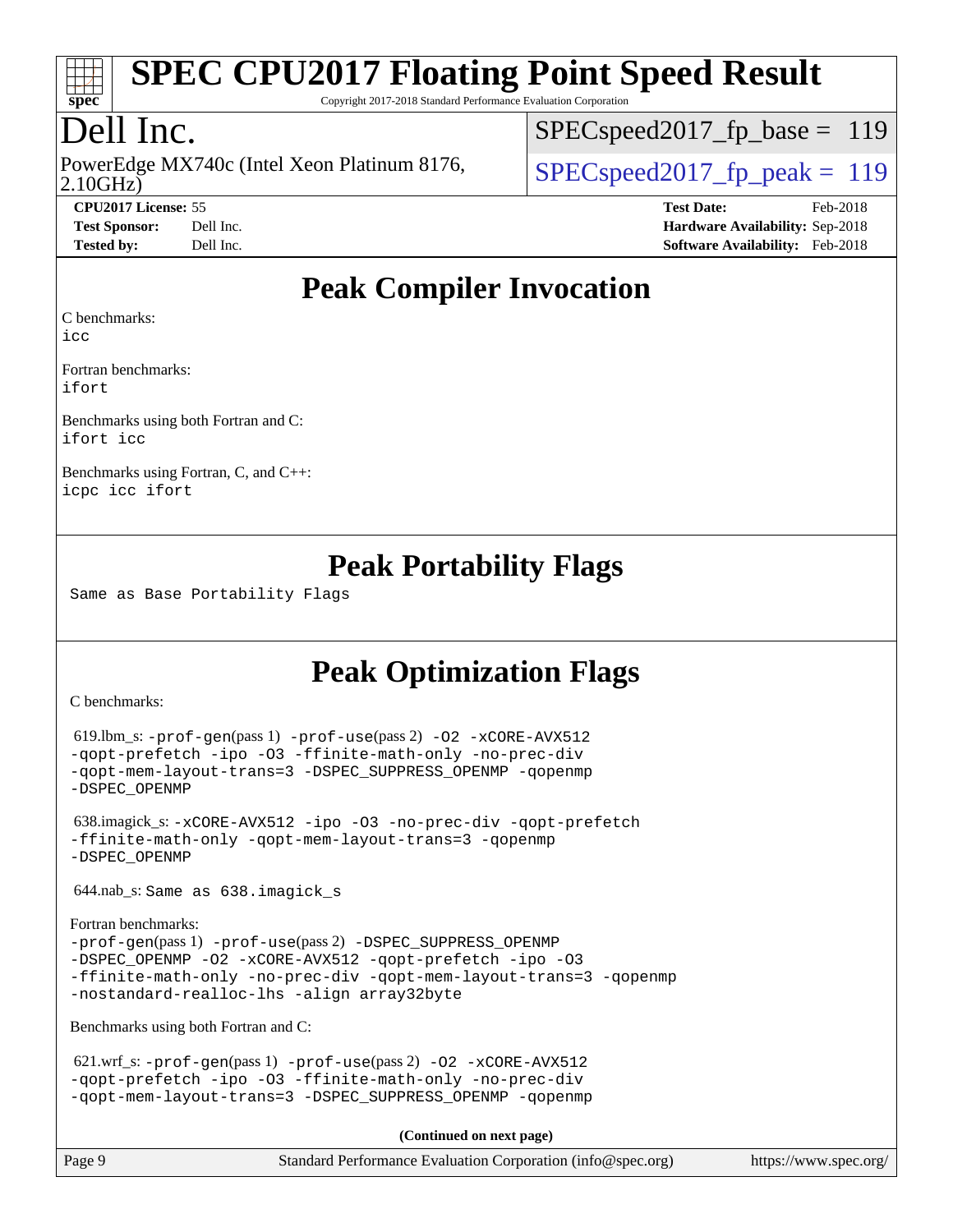

Copyright 2017-2018 Standard Performance Evaluation Corporation

# Dell Inc.

2.10GHz) PowerEdge MX740c (Intel Xeon Platinum 8176,  $\vert$  SPECspeed2017 fp\_peak = 119

[SPECspeed2017\\_fp\\_base =](http://www.spec.org/auto/cpu2017/Docs/result-fields.html#SPECspeed2017fpbase) 119

**[CPU2017 License:](http://www.spec.org/auto/cpu2017/Docs/result-fields.html#CPU2017License)** 55 **[Test Date:](http://www.spec.org/auto/cpu2017/Docs/result-fields.html#TestDate)** Feb-2018 **[Test Sponsor:](http://www.spec.org/auto/cpu2017/Docs/result-fields.html#TestSponsor)** Dell Inc. **[Hardware Availability:](http://www.spec.org/auto/cpu2017/Docs/result-fields.html#HardwareAvailability)** Sep-2018 **[Tested by:](http://www.spec.org/auto/cpu2017/Docs/result-fields.html#Testedby)** Dell Inc. **[Software Availability:](http://www.spec.org/auto/cpu2017/Docs/result-fields.html#SoftwareAvailability)** Feb-2018

### **[Peak Compiler Invocation](http://www.spec.org/auto/cpu2017/Docs/result-fields.html#PeakCompilerInvocation)**

[C benchmarks](http://www.spec.org/auto/cpu2017/Docs/result-fields.html#Cbenchmarks):

[Fortran benchmarks](http://www.spec.org/auto/cpu2017/Docs/result-fields.html#Fortranbenchmarks):

[ifort](http://www.spec.org/cpu2017/results/res2018q4/cpu2017-20181001-09026.flags.html#user_FCpeak_intel_ifort_18.0_8111460550e3ca792625aed983ce982f94888b8b503583aa7ba2b8303487b4d8a21a13e7191a45c5fd58ff318f48f9492884d4413fa793fd88dd292cad7027ca)

[icc](http://www.spec.org/cpu2017/results/res2018q4/cpu2017-20181001-09026.flags.html#user_CCpeak_intel_icc_18.0_66fc1ee009f7361af1fbd72ca7dcefbb700085f36577c54f309893dd4ec40d12360134090235512931783d35fd58c0460139e722d5067c5574d8eaf2b3e37e92)

[Benchmarks using both Fortran and C](http://www.spec.org/auto/cpu2017/Docs/result-fields.html#BenchmarksusingbothFortranandC): [ifort](http://www.spec.org/cpu2017/results/res2018q4/cpu2017-20181001-09026.flags.html#user_CC_FCpeak_intel_ifort_18.0_8111460550e3ca792625aed983ce982f94888b8b503583aa7ba2b8303487b4d8a21a13e7191a45c5fd58ff318f48f9492884d4413fa793fd88dd292cad7027ca) [icc](http://www.spec.org/cpu2017/results/res2018q4/cpu2017-20181001-09026.flags.html#user_CC_FCpeak_intel_icc_18.0_66fc1ee009f7361af1fbd72ca7dcefbb700085f36577c54f309893dd4ec40d12360134090235512931783d35fd58c0460139e722d5067c5574d8eaf2b3e37e92)

[Benchmarks using Fortran, C, and C++](http://www.spec.org/auto/cpu2017/Docs/result-fields.html#BenchmarksusingFortranCandCXX): [icpc](http://www.spec.org/cpu2017/results/res2018q4/cpu2017-20181001-09026.flags.html#user_CC_CXX_FCpeak_intel_icpc_18.0_c510b6838c7f56d33e37e94d029a35b4a7bccf4766a728ee175e80a419847e808290a9b78be685c44ab727ea267ec2f070ec5dc83b407c0218cded6866a35d07) [icc](http://www.spec.org/cpu2017/results/res2018q4/cpu2017-20181001-09026.flags.html#user_CC_CXX_FCpeak_intel_icc_18.0_66fc1ee009f7361af1fbd72ca7dcefbb700085f36577c54f309893dd4ec40d12360134090235512931783d35fd58c0460139e722d5067c5574d8eaf2b3e37e92) [ifort](http://www.spec.org/cpu2017/results/res2018q4/cpu2017-20181001-09026.flags.html#user_CC_CXX_FCpeak_intel_ifort_18.0_8111460550e3ca792625aed983ce982f94888b8b503583aa7ba2b8303487b4d8a21a13e7191a45c5fd58ff318f48f9492884d4413fa793fd88dd292cad7027ca)

### **[Peak Portability Flags](http://www.spec.org/auto/cpu2017/Docs/result-fields.html#PeakPortabilityFlags)**

Same as Base Portability Flags

## **[Peak Optimization Flags](http://www.spec.org/auto/cpu2017/Docs/result-fields.html#PeakOptimizationFlags)**

[C benchmarks](http://www.spec.org/auto/cpu2017/Docs/result-fields.html#Cbenchmarks):

```
 619.lbm_s: -prof-gen(pass 1) -prof-use(pass 2) -O2 -xCORE-AVX512
-qopt-prefetch -ipo -O3 -ffinite-math-only -no-prec-div
-qopt-mem-layout-trans=3 -DSPEC_SUPPRESS_OPENMP -qopenmp
-DSPEC_OPENMP
```
 638.imagick\_s: [-xCORE-AVX512](http://www.spec.org/cpu2017/results/res2018q4/cpu2017-20181001-09026.flags.html#user_peakCOPTIMIZE638_imagick_s_f-xCORE-AVX512) [-ipo](http://www.spec.org/cpu2017/results/res2018q4/cpu2017-20181001-09026.flags.html#user_peakCOPTIMIZE638_imagick_s_f-ipo) [-O3](http://www.spec.org/cpu2017/results/res2018q4/cpu2017-20181001-09026.flags.html#user_peakCOPTIMIZE638_imagick_s_f-O3) [-no-prec-div](http://www.spec.org/cpu2017/results/res2018q4/cpu2017-20181001-09026.flags.html#user_peakCOPTIMIZE638_imagick_s_f-no-prec-div) [-qopt-prefetch](http://www.spec.org/cpu2017/results/res2018q4/cpu2017-20181001-09026.flags.html#user_peakCOPTIMIZE638_imagick_s_f-qopt-prefetch) [-ffinite-math-only](http://www.spec.org/cpu2017/results/res2018q4/cpu2017-20181001-09026.flags.html#user_peakCOPTIMIZE638_imagick_s_f_finite_math_only_cb91587bd2077682c4b38af759c288ed7c732db004271a9512da14a4f8007909a5f1427ecbf1a0fb78ff2a814402c6114ac565ca162485bbcae155b5e4258871) [-qopt-mem-layout-trans=3](http://www.spec.org/cpu2017/results/res2018q4/cpu2017-20181001-09026.flags.html#user_peakCOPTIMIZE638_imagick_s_f-qopt-mem-layout-trans_de80db37974c74b1f0e20d883f0b675c88c3b01e9d123adea9b28688d64333345fb62bc4a798493513fdb68f60282f9a726aa07f478b2f7113531aecce732043) [-qopenmp](http://www.spec.org/cpu2017/results/res2018q4/cpu2017-20181001-09026.flags.html#user_peakCOPTIMIZE638_imagick_s_qopenmp_16be0c44f24f464004c6784a7acb94aca937f053568ce72f94b139a11c7c168634a55f6653758ddd83bcf7b8463e8028bb0b48b77bcddc6b78d5d95bb1df2967) [-DSPEC\\_OPENMP](http://www.spec.org/cpu2017/results/res2018q4/cpu2017-20181001-09026.flags.html#suite_peakCOPTIMIZE638_imagick_s_DSPEC_OPENMP)

644.nab\_s: Same as 638.imagick\_s

```
Fortran benchmarks: 
-prof-gen(pass 1) -prof-use(pass 2) -DSPEC_SUPPRESS_OPENMP
-DSPEC_OPENMP -O2 -xCORE-AVX512 -qopt-prefetch -ipo -O3
-ffinite-math-only -no-prec-div -qopt-mem-layout-trans=3 -qopenmp
-nostandard-realloc-lhs -align array32byte
```
[Benchmarks using both Fortran and C](http://www.spec.org/auto/cpu2017/Docs/result-fields.html#BenchmarksusingbothFortranandC):

621.wrf\_s:  $-prof-qen(pass 1) -prof-use(pass 2) -O2 -xCORE-AVX512$  $-prof-qen(pass 1) -prof-use(pass 2) -O2 -xCORE-AVX512$  $-prof-qen(pass 1) -prof-use(pass 2) -O2 -xCORE-AVX512$  $-prof-qen(pass 1) -prof-use(pass 2) -O2 -xCORE-AVX512$  $-prof-qen(pass 1) -prof-use(pass 2) -O2 -xCORE-AVX512$  $-prof-qen(pass 1) -prof-use(pass 2) -O2 -xCORE-AVX512$ [-qopt-prefetch](http://www.spec.org/cpu2017/results/res2018q4/cpu2017-20181001-09026.flags.html#user_peakPASS1_COPTIMIZEPASS1_FOPTIMIZEPASS2_COPTIMIZEPASS2_FOPTIMIZE621_wrf_s_f-qopt-prefetch) [-ipo](http://www.spec.org/cpu2017/results/res2018q4/cpu2017-20181001-09026.flags.html#user_peakPASS2_COPTIMIZEPASS2_FOPTIMIZE621_wrf_s_f-ipo) [-O3](http://www.spec.org/cpu2017/results/res2018q4/cpu2017-20181001-09026.flags.html#user_peakPASS2_COPTIMIZEPASS2_FOPTIMIZE621_wrf_s_f-O3) [-ffinite-math-only](http://www.spec.org/cpu2017/results/res2018q4/cpu2017-20181001-09026.flags.html#user_peakPASS1_COPTIMIZEPASS1_FOPTIMIZEPASS2_COPTIMIZEPASS2_FOPTIMIZE621_wrf_s_f_finite_math_only_cb91587bd2077682c4b38af759c288ed7c732db004271a9512da14a4f8007909a5f1427ecbf1a0fb78ff2a814402c6114ac565ca162485bbcae155b5e4258871) [-no-prec-div](http://www.spec.org/cpu2017/results/res2018q4/cpu2017-20181001-09026.flags.html#user_peakPASS2_COPTIMIZEPASS2_FOPTIMIZE621_wrf_s_f-no-prec-div) [-qopt-mem-layout-trans=3](http://www.spec.org/cpu2017/results/res2018q4/cpu2017-20181001-09026.flags.html#user_peakPASS1_COPTIMIZEPASS1_FOPTIMIZEPASS2_COPTIMIZEPASS2_FOPTIMIZE621_wrf_s_f-qopt-mem-layout-trans_de80db37974c74b1f0e20d883f0b675c88c3b01e9d123adea9b28688d64333345fb62bc4a798493513fdb68f60282f9a726aa07f478b2f7113531aecce732043) [-DSPEC\\_SUPPRESS\\_OPENMP](http://www.spec.org/cpu2017/results/res2018q4/cpu2017-20181001-09026.flags.html#suite_peakPASS1_COPTIMIZEPASS1_FOPTIMIZE621_wrf_s_DSPEC_SUPPRESS_OPENMP) [-qopenmp](http://www.spec.org/cpu2017/results/res2018q4/cpu2017-20181001-09026.flags.html#user_peakPASS2_COPTIMIZEPASS2_FOPTIMIZE621_wrf_s_qopenmp_16be0c44f24f464004c6784a7acb94aca937f053568ce72f94b139a11c7c168634a55f6653758ddd83bcf7b8463e8028bb0b48b77bcddc6b78d5d95bb1df2967)

**(Continued on next page)**